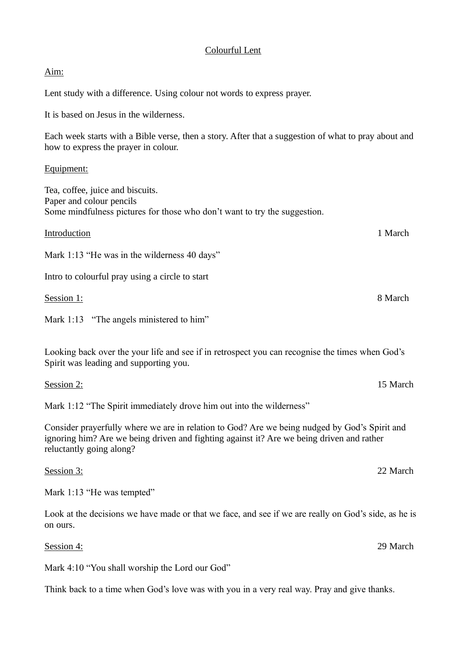## Colourful Lent

## Aim:

Lent study with a difference. Using colour not words to express prayer.

It is based on Jesus in the wilderness.

Each week starts with a Bible verse, then a story. After that a suggestion of what to pray about and how to express the prayer in colour.

## Equipment:

Tea, coffee, juice and biscuits. Paper and colour pencils Some mindfulness pictures for those who don't want to try the suggestion.

| Introduction                                    | 1 March |
|-------------------------------------------------|---------|
| Mark 1:13 "He was in the wilderness 40 days"    |         |
| Intro to colourful pray using a circle to start |         |
| Session 1:                                      | 8 March |
| Mark 1:13 "The angels ministered to him"        |         |
|                                                 |         |

Looking back over the your life and see if in retrospect you can recognise the times when God's Spirit was leading and supporting you.

| Session 2: | 15 March |
|------------|----------|
|            |          |

Mark 1:12 "The Spirit immediately drove him out into the wilderness"

Consider prayerfully where we are in relation to God? Are we being nudged by God's Spirit and ignoring him? Are we being driven and fighting against it? Are we being driven and rather reluctantly going along?

Session 3: 22 March

Mark 1:13 "He was tempted"

Look at the decisions we have made or that we face, and see if we are really on God's side, as he is on ours.

Session 4: 29 March

Mark 4:10 "You shall worship the Lord our God"

Think back to a time when God's love was with you in a very real way. Pray and give thanks.